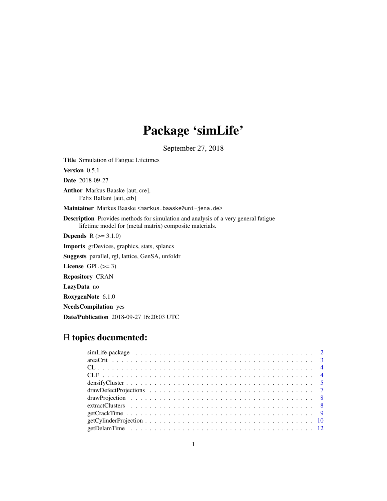# Package 'simLife'

September 27, 2018

<span id="page-0-0"></span>Title Simulation of Fatigue Lifetimes

Version 0.5.1

Date 2018-09-27

Author Markus Baaske [aut, cre], Felix Ballani [aut, ctb]

Maintainer Markus Baaske <markus.baaske@uni-jena.de>

Description Provides methods for simulation and analysis of a very general fatigue lifetime model for (metal matrix) composite materials.

**Depends**  $R$  ( $>= 3.1.0$ )

Imports grDevices, graphics, stats, splancs

Suggests parallel, rgl, lattice, GenSA, unfoldr

License GPL  $(>= 3)$ 

Repository CRAN

LazyData no

RoxygenNote 6.1.0

NeedsCompilation yes

Date/Publication 2018-09-27 16:20:03 UTC

# R topics documented: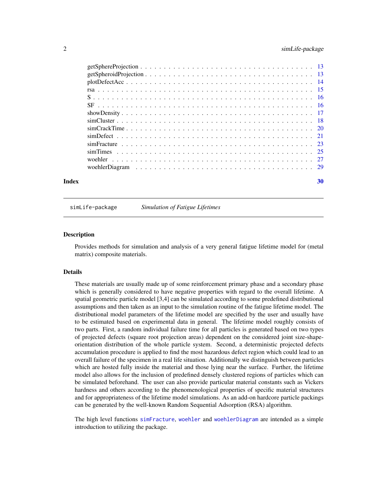# <span id="page-1-0"></span>2 simLife-package

| Index | 30 |
|-------|----|
|       |    |
|       |    |
|       |    |
|       |    |
|       |    |
|       |    |
|       |    |
|       |    |
|       |    |
|       |    |
|       |    |
|       |    |
|       |    |
|       |    |

simLife-package *Simulation of Fatigue Lifetimes*

#### **Description**

Provides methods for simulation and analysis of a very general fatigue lifetime model for (metal matrix) composite materials.

#### Details

These materials are usually made up of some reinforcement primary phase and a secondary phase which is generally considered to have negative properties with regard to the overall lifetime. A spatial geometric particle model [3,4] can be simulated according to some predefined distributional assumptions and then taken as an input to the simulation routine of the fatigue lifetime model. The distributional model parameters of the lifetime model are specified by the user and usually have to be estimated based on experimental data in general. The lifetime model roughly consists of two parts. First, a random individual failure time for all particles is generated based on two types of projected defects (square root projection areas) dependent on the considered joint size-shapeorientation distribution of the whole particle system. Second, a deterministic projected defects accumulation procedure is applied to find the most hazardous defect region which could lead to an overall failure of the specimen in a real life situation. Additionally we distinguish between particles which are hosted fully inside the material and those lying near the surface. Further, the lifetime model also allows for the inclusion of predefined densely clustered regions of particles which can be simulated beforehand. The user can also provide particular material constants such as Vickers hardness and others according to the phenomenological properties of specific material structures and for appropriateness of the lifetime model simulations. As an add-on hardcore particle packings can be generated by the well-known Random Sequential Adsorption (RSA) algorithm.

The high level functions [simFracture](#page-22-1), [woehler](#page-26-1) and [woehlerDiagram](#page-28-1) are intended as a simple introduction to utilizing the package.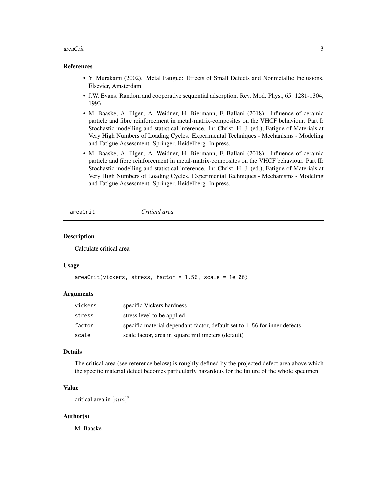#### <span id="page-2-0"></span>areaCrit 3

#### References

- Y. Murakami (2002). Metal Fatigue: Effects of Small Defects and Nonmetallic Inclusions. Elsevier, Amsterdam.
- J.W. Evans. Random and cooperative sequential adsorption. Rev. Mod. Phys., 65: 1281-1304, 1993.
- M. Baaske, A. Illgen, A. Weidner, H. Biermann, F. Ballani (2018). Influence of ceramic particle and fibre reinforcement in metal-matrix-composites on the VHCF behaviour. Part I: Stochastic modelling and statistical inference. In: Christ, H.-J. (ed.), Fatigue of Materials at Very High Numbers of Loading Cycles. Experimental Techniques - Mechanisms - Modeling and Fatigue Assessment. Springer, Heidelberg. In press.
- M. Baaske, A. Illgen, A. Weidner, H. Biermann, F. Ballani (2018). Influence of ceramic particle and fibre reinforcement in metal-matrix-composites on the VHCF behaviour. Part II: Stochastic modelling and statistical inference. In: Christ, H.-J. (ed.), Fatigue of Materials at Very High Numbers of Loading Cycles. Experimental Techniques - Mechanisms - Modeling and Fatigue Assessment. Springer, Heidelberg. In press.

```
areaCrit Critical area
```
#### Description

Calculate critical area

#### Usage

```
areaCrit(vickers, stress, factor = 1.56, scale = 1e+06)
```
#### **Arguments**

| vickers | specific Vickers hardness                                                 |
|---------|---------------------------------------------------------------------------|
| stress  | stress level to be applied                                                |
| factor  | specific material dependant factor, default set to 1.56 for inner defects |
| scale   | scale factor, area in square millimeters (default)                        |

#### Details

The critical area (see reference below) is roughly defined by the projected defect area above which the specific material defect becomes particularly hazardous for the failure of the whole specimen.

# Value

critical area in  $[mm]^2$ 

#### Author(s)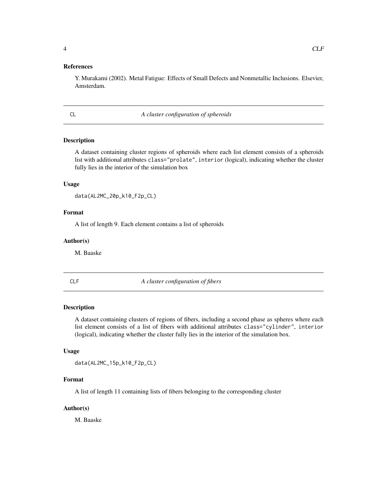## <span id="page-3-0"></span>References

Y. Murakami (2002). Metal Fatigue: Effects of Small Defects and Nonmetallic Inclusions. Elsevier, Amsterdam.

CL *A cluster configuration of spheroids*

# Description

A dataset containing cluster regions of spheroids where each list element consists of a spheroids list with additional attributes class="prolate", interior (logical), indicating whether the cluster fully lies in the interior of the simulation box

#### Usage

data(AL2MC\_20p\_k10\_F2p\_CL)

# Format

A list of length 9. Each element contains a list of spheroids

## Author(s)

M. Baaske

CLF *A cluster configuration of fibers*

#### Description

A dataset containing clusters of regions of fibers, including a second phase as spheres where each list element consists of a list of fibers with additional attributes class="cylinder", interior (logical), indicating whether the cluster fully lies in the interior of the simulation box.

# Usage

data(AL2MC\_15p\_k10\_F2p\_CL)

# Format

A list of length 11 containing lists of fibers belonging to the corresponding cluster

#### Author(s)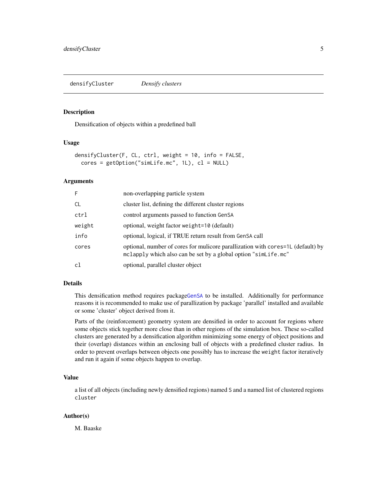<span id="page-4-0"></span>densifyCluster *Densify clusters*

### Description

Densification of objects within a predefined ball

# Usage

```
densifyCluster(F, CL, ctrl, weight = 10, info = FALSE,
 cores = getOption("simLife.mc", 1L), cl = NULL)
```
### Arguments

| F      | non-overlapping particle system                                                                                                                   |
|--------|---------------------------------------------------------------------------------------------------------------------------------------------------|
| CL.    | cluster list, defining the different cluster regions                                                                                              |
| ctrl   | control arguments passed to function GenSA                                                                                                        |
| weight | optional, weight factor weight=10 (default)                                                                                                       |
| info   | optional, logical, if TRUE return result from GenSA call                                                                                          |
| cores  | optional, number of cores for mulicore parallization with cores=1L (default) by<br>mclapply which also can be set by a global option "simLife.mc" |
| c1     | optional, parallel cluster object                                                                                                                 |

## Details

This densification method requires package[GenSA](#page-0-0) to be installed. Additionally for performance reasons it is recommended to make use of parallization by package 'parallel' installed and available or some 'cluster' object derived from it.

Parts of the (reinforcement) geometry system are densified in order to account for regions where some objects stick together more close than in other regions of the simulation box. These so-called clusters are generated by a densification algorithm minimizing some energy of object positions and their (overlap) distances within an enclosing ball of objects with a predefined cluster radius. In order to prevent overlaps between objects one possibly has to increase the weight factor iteratively and run it again if some objects happen to overlap.

## Value

a list of all objects (including newly densified regions) named S and a named list of clustered regions cluster

## Author(s)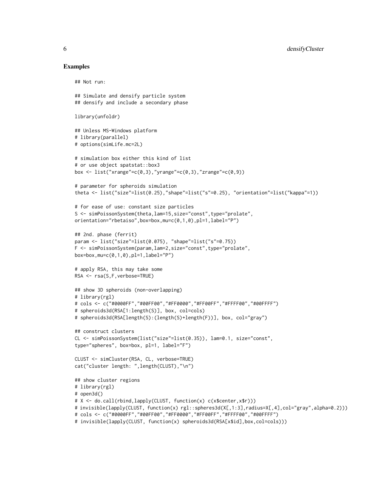#### Examples

## Not run:

```
## Simulate and densify particle system
## densify and include a secondary phase
library(unfoldr)
## Unless MS-Windows platform
# library(parallel)
# options(simLife.mc=2L)
# simulation box either this kind of list
# or use object spatstat::box3
box \le list("xrange"=c(0,3),"yrange"=c(0,3),"zrange"=c(0,9))
# parameter for spheroids simulation
theta <- list("size"=list(0.25),"shape"=list("s"=0.25), "orientation"=list("kappa"=1))
# for ease of use: constant size particles
S <- simPoissonSystem(theta,lam=15,size="const",type="prolate",
orientation="rbetaiso",box=box,mu=c(0,1,0),pl=1,label="P")
## 2nd. phase (ferrit)
param <- list("size"=list(0.075), "shape"=list("s"=0.75))
F <- simPoissonSystem(param,lam=2,size="const",type="prolate",
box=box, mu=c(0,1,0), pl=1, label="P")# apply RSA, this may take some
RSA <- rsa(S,F,verbose=TRUE)
## show 3D spheroids (non-overlapping)
# library(rgl)
# cols <- c("#0000FF","#00FF00","#FF0000","#FF00FF","#FFFF00","#00FFFF")
# spheroids3d(RSA[1:length(S)], box, col=cols)
# spheroids3d(RSA[length(S):(length(S)+length(F))], box, col="gray")
## construct clusters
CL <- simPoissonSystem(list("size"=list(0.35)), lam=0.1, size="const",
type="spheres", box=box, pl=1, label="F")
CLUST <- simCluster(RSA, CL, verbose=TRUE)
cat("cluster length: ",length(CLUST),"\n")
## show cluster regions
# library(rgl)
# open3d()
# X <- do.call(rbind,lapply(CLUST, function(x) c(x$center,x$r)))
# invisible(lapply(CLUST, function(x) rgl::spheres3d(X[,1:3],radius=X[,4],col="gray",alpha=0.2)))
# cols <- c("#0000FF","#00FF00","#FF0000","#FF00FF","#FFFF00","#00FFFF")
# invisible(lapply(CLUST, function(x) spheroids3d(RSA[x$id],box,col=cols)))
```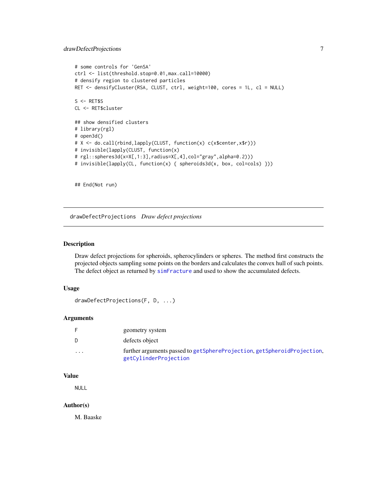# <span id="page-6-0"></span>drawDefectProjections 7

```
# some controls for 'GenSA'
ctrl <- list(threshold.stop=0.01,max.call=10000)
# densify region to clustered particles
RET <- densifyCluster(RSA, CLUST, ctrl, weight=100, cores = 1L, cl = NULL)
S < - RET$S
CL <- RET$cluster
## show densified clusters
# library(rgl)
# open3d()
# X <- do.call(rbind,lapply(CLUST, function(x) c(x$center,x$r)))
# invisible(lapply(CLUST, function(x)
# rgl::spheres3d(x=X[,1:3],radius=X[,4],col="gray",alpha=0.2)))
# invisible(lapply(CL, function(x) { spheroids3d(x, box, col=cols) }))
```
## End(Not run)

drawDefectProjections *Draw defect projections*

# Description

Draw defect projections for spheroids, spherocylinders or spheres. The method first constructs the projected objects sampling some points on the borders and calculates the convex hull of such points. The defect object as returned by [simFracture](#page-22-1) and used to show the accumulated defects.

#### Usage

```
drawDefectProjections(F, D, ...)
```
#### Arguments

|          | geometry system                                                                                  |
|----------|--------------------------------------------------------------------------------------------------|
| -D       | defects object                                                                                   |
| $\cdots$ | further arguments passed to getSphereProjection, getSpheroidProjection,<br>getCylinderProjection |

#### Value

NULL

#### Author(s)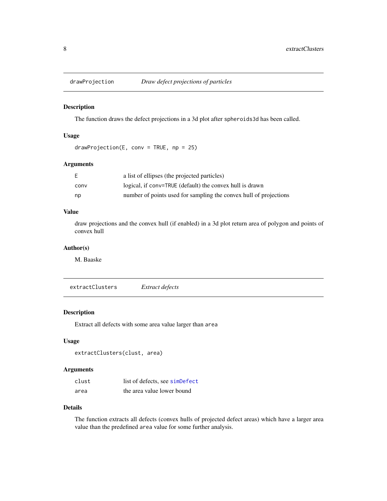<span id="page-7-0"></span>

#### Description

The function draws the defect projections in a 3d plot after spheroids3d has been called.

# Usage

```
drawProjection(E, conv = TRUE, np = 25)
```
# Arguments

| E    | a list of ellipses (the projected particles)                      |
|------|-------------------------------------------------------------------|
| conv | logical, if conv=TRUE (default) the convex hull is drawn          |
| np   | number of points used for sampling the convex hull of projections |

# Value

draw projections and the convex hull (if enabled) in a 3d plot return area of polygon and points of convex hull

# Author(s)

M. Baaske

extractClusters *Extract defects*

# Description

Extract all defects with some area value larger than area

# Usage

```
extractClusters(clust, area)
```
# Arguments

| clust | list of defects, see simplefect |
|-------|---------------------------------|
| area  | the area value lower bound      |

# Details

The function extracts all defects (convex hulls of projected defect areas) which have a larger area value than the predefined area value for some further analysis.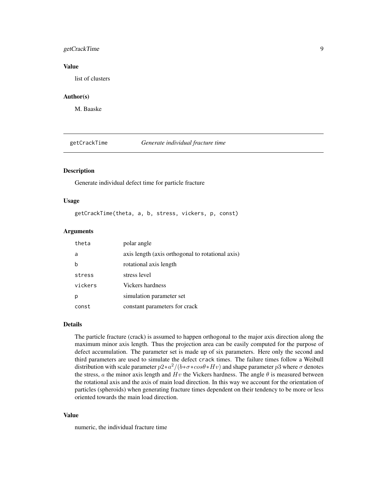# <span id="page-8-0"></span>getCrackTime 9

## Value

list of clusters

# Author(s)

M. Baaske

<span id="page-8-1"></span>getCrackTime *Generate individual fracture time*

# Description

Generate individual defect time for particle fracture

#### Usage

getCrackTime(theta, a, b, stress, vickers, p, const)

# Arguments

| theta   | polar angle                                      |
|---------|--------------------------------------------------|
| a       | axis length (axis orthogonal to rotational axis) |
| h       | rotational axis length                           |
| stress  | stress level                                     |
| vickers | Vickers hardness                                 |
| р       | simulation parameter set                         |
| const   | constant parameters for crack                    |

#### Details

The particle fracture (crack) is assumed to happen orthogonal to the major axis direction along the maximum minor axis length. Thus the projection area can be easily computed for the purpose of defect accumulation. The parameter set is made up of six parameters. Here only the second and third parameters are used to simulate the defect crack times. The failure times follow a Weibull distribution with scale parameter  $p2*a^2/(b* \sigma * cos \theta * Hv)$  and shape parameter  $p3$  where  $\sigma$  denotes the stress, a the minor axis length and  $Hv$  the Vickers hardness. The angle  $\theta$  is measured between the rotational axis and the axis of main load direction. In this way we account for the orientation of particles (spheroids) when generating fracture times dependent on their tendency to be more or less oriented towards the main load direction.

### Value

numeric, the individual fracture time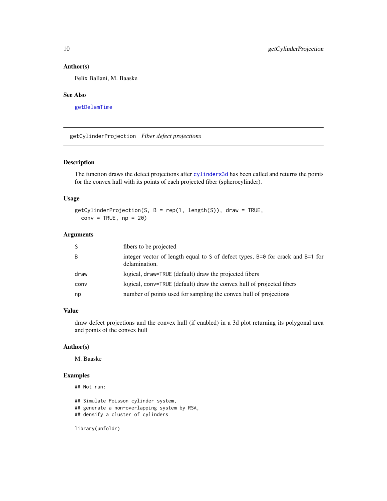#### <span id="page-9-0"></span>Author(s)

Felix Ballani, M. Baaske

#### See Also

[getDelamTime](#page-11-1)

<span id="page-9-1"></span>getCylinderProjection *Fiber defect projections*

# Description

The function draws the defect projections after [cylinders3d](#page-0-0) has been called and returns the points for the convex hull with its points of each projected fiber (spherocylinder).

#### Usage

```
getCylinderProjection(S, B = rep(1, length(S)), draw = TRUE,
  conv = TRUE, np = 20
```
# Arguments

| S    | fibers to be projected                                                                          |
|------|-------------------------------------------------------------------------------------------------|
| B    | integer vector of length equal to S of defect types, B=0 for crack and B=1 for<br>delamination. |
| draw | logical, draw=TRUE (default) draw the projected fibers                                          |
| conv | logical, conv=TRUE (default) draw the convex hull of projected fibers                           |
| np   | number of points used for sampling the convex hull of projections                               |

# Value

draw defect projections and the convex hull (if enabled) in a 3d plot returning its polygonal area and points of the convex hull

#### Author(s)

M. Baaske

# Examples

```
## Not run:
```
## Simulate Poisson cylinder system, ## generate a non-overlapping system by RSA, ## densify a cluster of cylinders

library(unfoldr)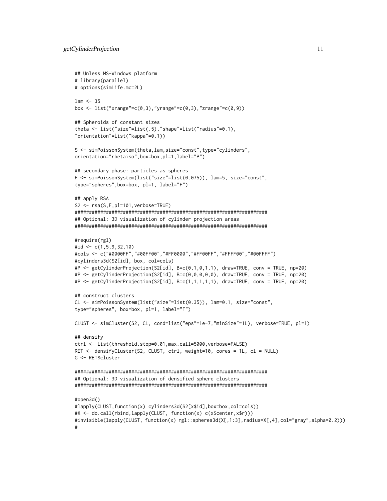```
## Unless MS-Windows platform
# library(parallel)
# options(simLife.mc=2L)
lam < - 35box <- list("xrange"=c(0,3),"yrange"=c(0,3),"zrange"=c(0,9))
## Spheroids of constant sizes
theta <- list("size"=list(.5),"shape"=list("radius"=0.1),
"orientation"=list("kappa"=0.1))
S <- simPoissonSystem(theta, lam, size="const", type="cylinders",
orientation="rbetaiso",box=box,pl=1,label="P")
## secondary phase: particles as spheres
F <- simPoissonSystem(list("size"=list(0.075)), lam=5, size="const",
type="spheres",box=box, pl=1, label="F")
## apply RSA
S2 <- rsa(S,F,pl=101,verbose=TRUE)
####################################################################
## Optional: 3D visualization of cylinder projection areas
####################################################################
#require(rgl)
#id <- c(1,5,9,32,10)
#cols <- c("#0000FF","#00FF00","#FF0000","#FF00FF","#FFFF00","#00FFFF")
#cylinders3d(S2[id], box, col=cols)
#P <- getCylinderProjection(S2[id], B=c(0,1,0,1,1), draw=TRUE, conv = TRUE, np=20)
#P <- getCylinderProjection(S2[id], B=c(0,0,0,0,0), draw=TRUE, conv = TRUE, np=20)
#P <- getCylinderProjection(S2[id], B=c(1,1,1,1,1), draw=TRUE, conv = TRUE, np=20)
## construct clusters
CL <- simPoissonSystem(list("size"=list(0.35)), lam=0.1, size="const",
type="spheres", box=box, pl=1, label="F")
CLUST <- simCluster(S2, CL, cond=list("eps"=1e-7,"minSize"=1L), verbose=TRUE, pl=1)
## densify
ctrl <- list(threshold.stop=0.01,max.call=5000,verbose=FALSE)
RET <- densifyCluster(S2, CLUST, ctrl, weight=10, cores = 1L, cl = NULL)
G <- RET$cluster
####################################################################
## Optional: 3D visualization of densified sphere clusters
####################################################################
#open3d()
#lapply(CLUST,function(x) cylinders3d(S2[x$id],box=box,col=cols))
#X <- do.call(rbind,lapply(CLUST, function(x) c(x$center,x$r)))
#invisible(lapply(CLUST, function(x) rgl::spheres3d(X[,1:3],radius=X[,4],col="gray",alpha=0.2)))
#
```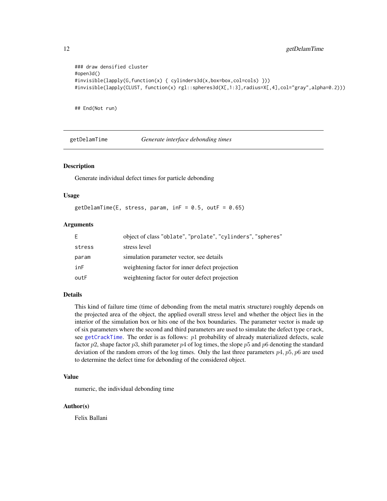```
### draw densified cluster
#open3d()
#invisible(lapply(G,function(x) { cylinders3d(x,box=box,col=cols) }))
#invisible(lapply(CLUST, function(x) rgl::spheres3d(X[,1:3],radius=X[,4],col="gray",alpha=0.2)))
```
## End(Not run)

<span id="page-11-1"></span>getDelamTime *Generate interface debonding times*

# **Description**

Generate individual defect times for particle debonding

#### Usage

getDelamTime(E, stress, param,  $inf = 0.5$ , outF = 0.65)

#### Arguments

|        | object of class "oblate", "prolate", "cylinders", "spheres" |
|--------|-------------------------------------------------------------|
| stress | stress level                                                |
| param  | simulation parameter vector, see details                    |
| inF    | weightening factor for inner defect projection              |
| outF   | weightening factor for outer defect projection              |

#### Details

This kind of failure time (time of debonding from the metal matrix structure) roughly depends on the projected area of the object, the applied overall stress level and whether the object lies in the interior of the simulation box or hits one of the box boundaries. The parameter vector is made up of six parameters where the second and third parameters are used to simulate the defect type crack, see [getCrackTime](#page-8-1). The order is as follows:  $p1$  probability of already materialized defects, scale factor  $p2$ , shape factor  $p3$ , shift parameter  $p4$  of log times, the slope  $p5$  and  $p6$  denoting the standard deviation of the random errors of the log times. Only the last three parameters  $p_4$ ,  $p_5$ ,  $p_6$  are used to determine the defect time for debonding of the considered object.

#### Value

numeric, the individual debonding time

#### Author(s)

Felix Ballani

<span id="page-11-0"></span>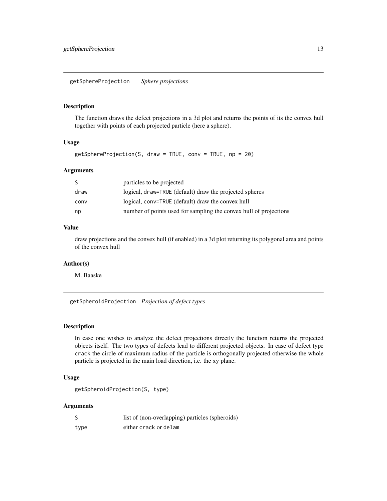<span id="page-12-1"></span><span id="page-12-0"></span>getSphereProjection *Sphere projections*

#### Description

The function draws the defect projections in a 3d plot and returns the points of its the convex hull together with points of each projected particle (here a sphere).

# Usage

```
getSphereProjection(S, draw = TRUE, conv = TRUE, np = 20)
```
# Arguments

| logical, draw=TRUE (default) draw the projected spheres           |
|-------------------------------------------------------------------|
|                                                                   |
| number of points used for sampling the convex hull of projections |
|                                                                   |

# Value

draw projections and the convex hull (if enabled) in a 3d plot returning its polygonal area and points of the convex hull

#### Author(s)

M. Baaske

<span id="page-12-2"></span>getSpheroidProjection *Projection of defect types*

#### Description

In case one wishes to analyze the defect projections directly the function returns the projected objects itself. The two types of defects lead to different projected objects. In case of defect type crack the circle of maximum radius of the particle is orthogonally projected otherwise the whole particle is projected in the main load direction, i.e. the xy plane.

## Usage

```
getSpheroidProjection(S, type)
```
#### Arguments

|      | list of (non-overlapping) particles (spheroids) |
|------|-------------------------------------------------|
| type | either crack or delam                           |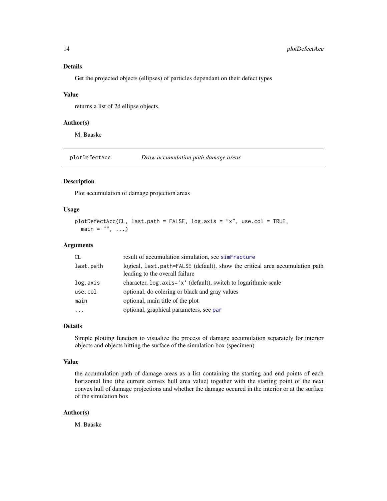#### <span id="page-13-0"></span>Details

Get the projected objects (ellipses) of particles dependant on their defect types

#### Value

returns a list of 2d ellipse objects.

#### Author(s)

M. Baaske

plotDefectAcc *Draw accumulation path damage areas*

# Description

Plot accumulation of damage projection areas

# Usage

```
plotDefectAcc(CL, last.path = FALSE, log.axis = "x", use.col = TRUE,
 main = ", ...)
```
#### Arguments

| <sub>CL</sub>       | result of accumulation simulation, see simeracture                                                             |
|---------------------|----------------------------------------------------------------------------------------------------------------|
| last.path           | logical, last.path=FALSE (default), show the critical area accumulation path<br>leading to the overall failure |
| log.axis            | character, log. axis='x' (default), switch to logarithmic scale                                                |
| use.col             | optional, do colering or black and gray values                                                                 |
| main                | optional, main title of the plot                                                                               |
| $\cdot \cdot \cdot$ | optional, graphical parameters, see par                                                                        |

# Details

Simple plotting function to visualize the process of damage accumulation separately for interior objects and objects hitting the surface of the simulation box (specimen)

#### Value

the accumulation path of damage areas as a list containing the starting and end points of each horizontal line (the current convex hull area value) together with the starting point of the next convex hull of damage projections and whether the damage occured in the interior or at the surface of the simulation box

#### Author(s)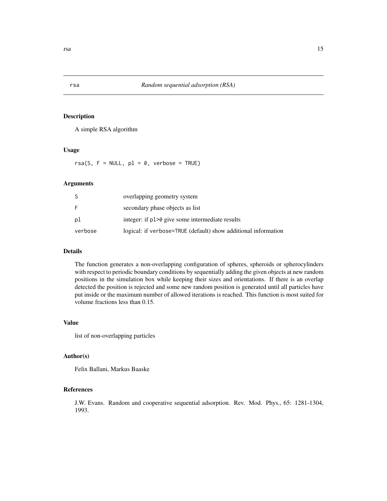#### Description

A simple RSA algorithm

#### Usage

 $rsa(S, F = NULL, pl = 0, verbose = TRUE)$ 

#### Arguments

|         | overlapping geometry system                                    |
|---------|----------------------------------------------------------------|
| F.      | secondary phase objects as list                                |
| рl      | integer: if p1>0 give some intermediate results                |
| verbose | logical: if verbose=TRUE (default) show additional information |

# Details

The function generates a non-overlapping configuration of spheres, spheroids or spherocylinders with respect to periodic boundary conditions by sequentially adding the given objects at new random positions in the simulation box while keeping their sizes and orientations. If there is an overlap detected the position is rejected and some new random position is generated until all particles have put inside or the maximum number of allowed iterations is reached. This function is most suited for volume fractions less than 0.15.

#### Value

list of non-overlapping particles

# Author(s)

Felix Ballani, Markus Baaske

# References

J.W. Evans. Random and cooperative sequential adsorption. Rev. Mod. Phys., 65: 1281-1304, 1993.

<span id="page-14-1"></span><span id="page-14-0"></span>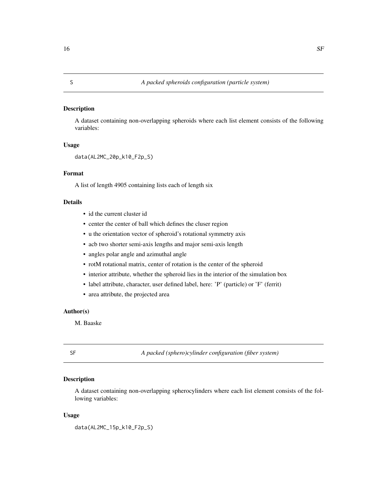# <span id="page-15-0"></span>Description

A dataset containing non-overlapping spheroids where each list element consists of the following variables:

### Usage

```
data(AL2MC_20p_k10_F2p_S)
```
## Format

A list of length 4905 containing lists each of length six

# Details

- id the current cluster id
- center the center of ball which defines the cluser region
- u the orientation vector of spheroid's rotational symmetry axis
- acb two shorter semi-axis lengths and major semi-axis length
- angles polar angle and azimuthal angle
- rotM rotational matrix, center of rotation is the center of the spheroid
- interior attribute, whether the spheroid lies in the interior of the simulation box
- label attribute, character, user defined label, here: 'P' (particle) or 'F' (ferrit)
- area attribute, the projected area

# Author(s)

M. Baaske

SF *A packed (sphero)cylinder configuration (fiber system)*

# Description

A dataset containing non-overlapping spherocylinders where each list element consists of the following variables:

#### Usage

data(AL2MC\_15p\_k10\_F2p\_S)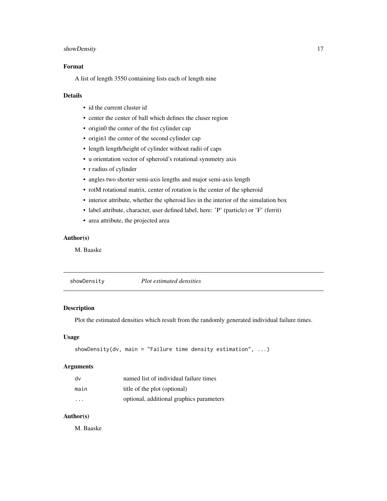### <span id="page-16-0"></span>showDensity 17

# Format

A list of length 3550 containing lists each of length nine

## Details

- id the current cluster id
- center the center of ball which defines the cluser region
- origin0 the center of the fist cylinder cap
- origin1 the center of the second cylinder cap
- length length/height of cylinder without radii of caps
- u orientation vector of spheroid's rotational symmetry axis
- r radius of cylinder
- angles two shorter semi-axis lengths and major semi-axis length
- rotM rotational matrix, center of rotation is the center of the spheroid
- interior attribute, whether the spheroid lies in the interior of the simulation box
- label attribute, character, user defined label, here: 'P' (particle) or 'F' (ferrit)
- area attribute, the projected area

# Author(s)

M. Baaske

showDensity *Plot estimated densities*

# Description

Plot the estimated densities which result from the randomly generated individual failure times.

# Usage

```
showDensity(dv, main = "Failure time density estimation", \dots)
```
# Arguments

| dv   | named list of individual failure times   |
|------|------------------------------------------|
| main | title of the plot (optional)             |
| .    | optional, additional graphics parameters |

#### Author(s)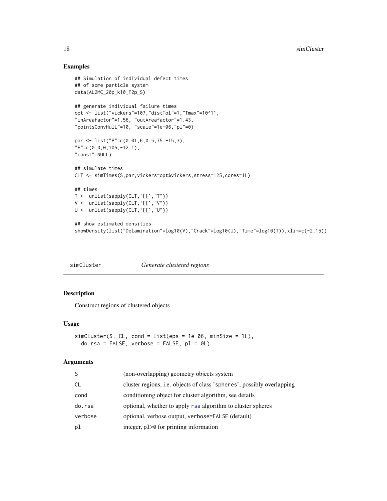### Examples

```
## Simulation of individual defect times
## of some particle system
data(AL2MC_20p_k10_F2p_S)
## generate individual failure times
opt <- list("vickers"=107,"distTol"=1,"Tmax"=10^11,
"inAreafactor"=1.56, "outAreafactor"=1.43,
"pointsConvHull"=10, "scale"=1e+06,"pl"=0)
par <- list("P"=c(0.01,6,0.5,75,-15,3),
"F" = c(0, 0, 0, 105, -12, 1),"const"=NULL)
## simulate times
CLT <- simTimes(S,par,vickers=opt$vickers,stress=125,cores=1L)
## times
T <- unlist(sapply(CLT,`[[`,"T"))
V <- unlist(sapply(CLT,`[[`,"V"))
U <- unlist(sapply(CLT,`[[`,"U"))
## show estimated densities
showDensity(list("Delamination"=log10(V),"Crack"=log10(U),"Time"=log10(T)),xlim=c(-2,15))
```
<span id="page-17-1"></span>simCluster *Generate clustered regions*

# Description

Construct regions of clustered objects

#### Usage

```
simCluster(S, CL, cond = list(eps = 1e-06, minSize = 1L),
 do.rsa = FALSE, verbose = FALSE, pl = 0L)
```
## Arguments

| S         | (non-overlapping) geometry objects system                                     |
|-----------|-------------------------------------------------------------------------------|
| <b>CL</b> | cluster regions, <i>i.e.</i> objects of class 'spheres', possibly overlapping |
| cond      | conditioning object for cluster algorithm, see details                        |
| do.rsa    | optional, whether to apply rsa algorithm to cluster spheres                   |
| verbose   | optional, verbose output, verbose=FALSE (default)                             |
| pl        | integer, p1>0 for printing information                                        |

<span id="page-17-0"></span>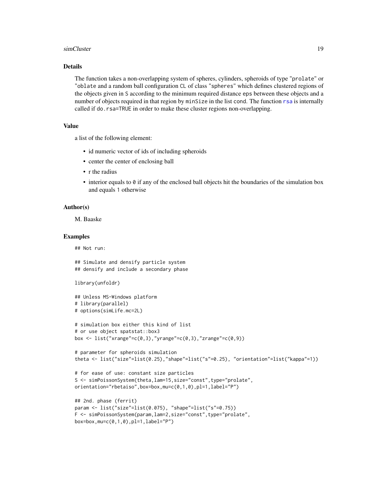#### <span id="page-18-0"></span>simCluster and the state of the state of the state of the state of the state of the state of the state of the state of the state of the state of the state of the state of the state of the state of the state of the state of

## Details

The function takes a non-overlapping system of spheres, cylinders, spheroids of type "prolate" or "oblate and a random ball configuration CL of class "spheres" which defines clustered regions of the objects given in S according to the minimum required distance eps between these objects and a number of objects required in that region by minSize in the list cond. The function [rsa](#page-14-1) is internally called if do.rsa=TRUE in order to make these cluster regions non-overlapping.

# Value

a list of the following element:

- id numeric vector of ids of including spheroids
- center the center of enclosing ball
- r the radius
- interior equals to 0 if any of the enclosed ball objects hit the boundaries of the simulation box and equals 1 otherwise

### Author(s)

M. Baaske

#### Examples

## Not run:

## Simulate and densify particle system ## densify and include a secondary phase

library(unfoldr)

```
## Unless MS-Windows platform
# library(parallel)
# options(simLife.mc=2L)
```

```
# simulation box either this kind of list
# or use object spatstat::box3
box <- list("xrange"=c(0,3),"yrange"=c(0,3),"zrange"=c(0,9))
```

```
# parameter for spheroids simulation
theta <- list("size"=list(0.25),"shape"=list("s"=0.25), "orientation"=list("kappa"=1))
```

```
# for ease of use: constant size particles
S <- simPoissonSystem(theta,lam=15,size="const",type="prolate",
orientation="rbetaiso",box=box,mu=c(0,1,0),pl=1,label="P")
```

```
## 2nd. phase (ferrit)
param <- list("size"=list(0.075), "shape"=list("s"=0.75))
F <- simPoissonSystem(param,lam=2,size="const",type="prolate",
box=box, mu=c(0,1,0), pl=1, label="P")
```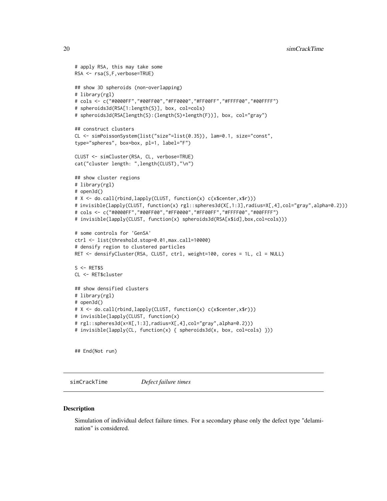```
# apply RSA, this may take some
RSA <- rsa(S,F,verbose=TRUE)
## show 3D spheroids (non-overlapping)
# library(rgl)
# cols <- c("#0000FF","#00FF00","#FF0000","#FF00FF","#FFFF00","#00FFFF")
# spheroids3d(RSA[1:length(S)], box, col=cols)
# spheroids3d(RSA[length(S):(length(S)+length(F))], box, col="gray")
## construct clusters
CL <- simPoissonSystem(list("size"=list(0.35)), lam=0.1, size="const",
type="spheres", box=box, pl=1, label="F")
CLUST <- simCluster(RSA, CL, verbose=TRUE)
cat("cluster length: ",length(CLUST),"\n")
## show cluster regions
# library(rgl)
# open3d()
# X <- do.call(rbind,lapply(CLUST, function(x) c(x$center,x$r)))
# invisible(lapply(CLUST, function(x) rgl::spheres3d(X[,1:3],radius=X[,4],col="gray",alpha=0.2)))
# cols <- c("#0000FF","#00FF00","#FF0000","#FF00FF","#FFFF00","#00FFFF")
# invisible(lapply(CLUST, function(x) spheroids3d(RSA[x$id],box,col=cols)))
# some controls for 'GenSA'
ctrl <- list(threshold.stop=0.01,max.call=10000)
# densify region to clustered particles
RET <- densifyCluster(RSA, CLUST, ctrl, weight=100, cores = 1L, cl = NULL)
S < - RET$S
CL <- RET$cluster
## show densified clusters
# library(rgl)
# open3d()
# X <- do.call(rbind,lapply(CLUST, function(x) c(x$center,x$r)))
# invisible(lapply(CLUST, function(x)
# rgl::spheres3d(x=X[,1:3],radius=X[,4],col="gray",alpha=0.2)))
# invisible(lapply(CL, function(x) { spheroids3d(x, box, col=cols) }))
```
## End(Not run)

<span id="page-19-1"></span>simCrackTime *Defect failure times*

#### **Description**

Simulation of individual defect failure times. For a secondary phase only the defect type "delamination" is considered.

<span id="page-19-0"></span>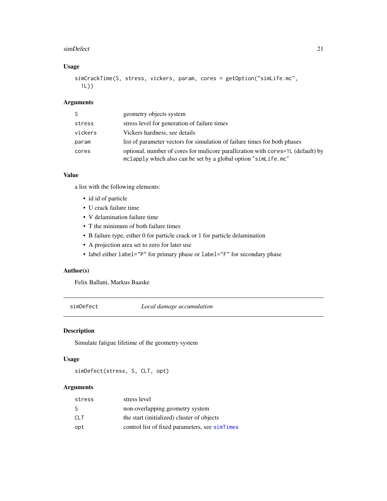#### <span id="page-20-0"></span>simDefect 21

# Usage

```
simCrackTime(S, stress, vickers, param, cores = getOption("simLife.mc",
  1L))
```
# Arguments

| S.      | geometry objects system                                                                                                                           |
|---------|---------------------------------------------------------------------------------------------------------------------------------------------------|
| stress  | stress level for generation of failure times                                                                                                      |
| vickers | Vickers hardness, see details                                                                                                                     |
| param   | list of parameter vectors for simulation of failure times for both phases                                                                         |
| cores   | optional, number of cores for mulicore parallization with cores=1L (default) by<br>mclapply which also can be set by a global option "simLife.mc" |

# Value

a list with the following elements:

- id id of particle
- U crack failure time
- V delamination failure time
- T the minimum of both failure times
- B failure type, either 0 for particle crack or 1 for particle delamination
- A projection area set to zero for later use
- label either label="P" for primary phase or label="F" for secondary phase

# Author(s)

Felix Ballani, Markus Baaske

<span id="page-20-1"></span>simDefect *Local damage accumulation*

## Description

Simulate fatigue lifetime of the geometry system

# Usage

simDefect(stress, S, CLT, opt)

# Arguments

| stress     | stress level                                   |
|------------|------------------------------------------------|
| S          | non-overlapping geometry system                |
| <b>CLT</b> | the start (initialized) cluster of objects     |
| opt        | control list of fixed parameters, see simTimes |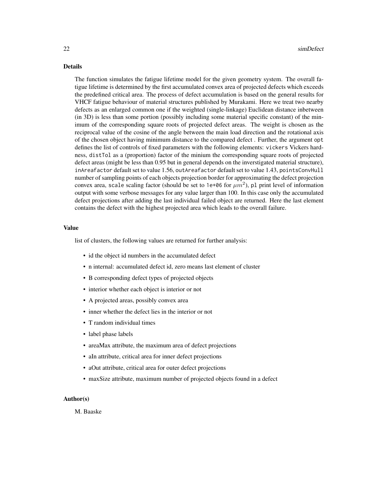#### Details

The function simulates the fatigue lifetime model for the given geometry system. The overall fatigue lifetime is determined by the first accumulated convex area of projected defects which exceeds the predefined critical area. The process of defect accumulation is based on the general results for VHCF fatigue behaviour of material structures published by Murakami. Here we treat two nearby defects as an enlarged common one if the weighted (single-linkage) Euclidean distance inbetween (in 3D) is less than some portion (possibly including some material specific constant) of the minimum of the corresponding square roots of projected defect areas. The weight is chosen as the reciprocal value of the cosine of the angle between the main load direction and the rotational axis of the chosen object having minimum distance to the compared defect . Further, the argument opt defines the list of controls of fixed parameters with the following elements: vickers Vickers hardness, distTol as a (proportion) factor of the minium the corresponding square roots of projected defect areas (might be less than 0.95 but in general depends on the inverstigated material structure), inAreafactor default set to value 1.56, outAreafactor default set to value 1.43, pointsConvHull number of sampling points of each objects projection border for approximating the defect projection convex area, scale scaling factor (should be set to 1e+06 for  $\mu m^2$ ), pl print level of information output with some verbose messages for any value larger than 100. In this case only the accumulated defect projections after adding the last individual failed object are returned. Here the last element contains the defect with the highest projected area which leads to the overall failure.

#### Value

list of clusters, the following values are returned for further analysis:

- id the object id numbers in the accumulated defect
- n internal: accumulated defect id, zero means last element of cluster
- B corresponding defect types of projected objects
- interior whether each object is interior or not
- A projected areas, possibly convex area
- inner whether the defect lies in the interior or not
- T random individual times
- label phase labels
- areaMax attribute, the maximum area of defect projections
- aIn attribute, critical area for inner defect projections
- aOut attribute, critical area for outer defect projections
- maxSize attribute, maximum number of projected objects found in a defect

#### Author(s)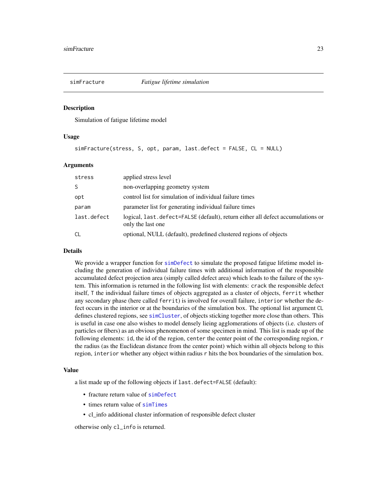<span id="page-22-1"></span><span id="page-22-0"></span>

### Description

Simulation of fatigue lifetime model

#### Usage

simFracture(stress, S, opt, param, last.defect = FALSE, CL = NULL)

#### Arguments

| stress      | applied stress level                                                                                 |
|-------------|------------------------------------------------------------------------------------------------------|
| S           | non-overlapping geometry system                                                                      |
| opt         | control list for simulation of individual failure times                                              |
| param       | parameter list for generating individual failure times                                               |
| last.defect | logical, last.defect=FALSE (default), return either all defect accumulations or<br>only the last one |
| CL          | optional, NULL (default), predefined clustered regions of objects                                    |

#### Details

We provide a wrapper function for [simDefect](#page-20-1) to simulate the proposed fatigue lifetime model including the generation of individual failure times with additional information of the responsible accumulated defect projection area (simply called defect area) which leads to the failure of the system. This information is returned in the following list with elements: crack the responsible defect itself, T the individual failure times of objects aggregated as a cluster of objects, ferrit whether any secondary phase (here called ferrit) is involved for overall failure, interior whether the defect occurs in the interior or at the boundaries of the simulation box. The optional list argument CL defines clustered regions, see [simCluster](#page-17-1), of objects sticking together more close than others. This is useful in case one also wishes to model densely lieing agglomerations of objects (i.e. clusters of particles or fibers) as an obvious phenomenon of some specimen in mind. This list is made up of the following elements: id, the id of the region, center the center point of the corresponding region, r the radius (as the Euclidean distance from the center point) which within all objects belong to this region, interior whether any object within radius r hits the box boundaries of the simulation box.

#### Value

a list made up of the following objects if last.defect=FALSE (default):

- fracture return value of [simDefect](#page-20-1)
- times return value of [simTimes](#page-24-1)
- cl\_info additional cluster information of responsible defect cluster

otherwise only cl\_info is returned.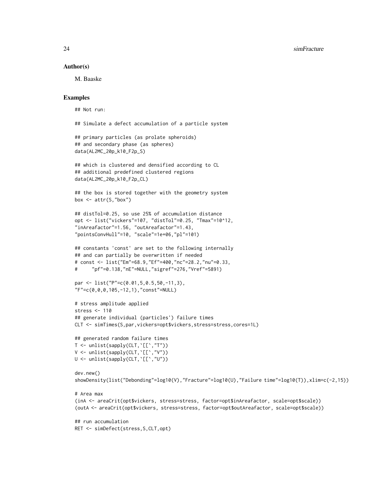#### Author(s)

M. Baaske

# Examples

```
## Not run:
## Simulate a defect accumulation of a particle system
## primary particles (as prolate spheroids)
## and secondary phase (as spheres)
data(AL2MC_20p_k10_F2p_S)
## which is clustered and densified according to CL
## additional predefined clustered regions
data(AL2MC_20p_k10_F2p_CL)
## the box is stored together with the geometry system
box \leq attr(S,"box")
## distTol=0.25, so use 25% of accumulation distance
opt <- list("vickers"=107, "distTol"=0.25, "Tmax"=10^12,
"inAreafactor"=1.56, "outAreafactor"=1.43,
"pointsConvHull"=10, "scale"=1e+06,"pl"=101)
## constants 'const' are set to the following internally
## and can partially be overwritten if needed
# const <- list("Em"=68.9,"Ef"=400,"nc"=28.2,"nu"=0.33,
# "pf"=0.138,"nE"=NULL,"sigref"=276,"Vref"=5891)
par <- list("P"=c(0.01,5,0.5,50,-11,3),
"F"=c(0,0,0,105,-12,1),"const"=NULL)
# stress amplitude applied
stress <- 110
## generate individual (particles') failure times
CLT <- simTimes(S,par,vickers=opt$vickers,stress=stress,cores=1L)
## generated random failure times
T \leftarrow \text{unlist(sapply(CLT, '[['', 'T''])})V <- unlist(sapply(CLT,`[[`,"V"))
U <- unlist(sapply(CLT,`[[`,"U"))
dev.new()
showDensity(list("Debonding"=log10(V),"Fracture"=log10(U),"Failure time"=log10(T)),xlim=c(-2,15))
# Area max
(inA <- areaCrit(opt$vickers, stress=stress, factor=opt$inAreafactor, scale=opt$scale))
(outA <- areaCrit(opt$vickers, stress=stress, factor=opt$outAreafactor, scale=opt$scale))
```

```
## run accumulation
RET <- simDefect(stress,S,CLT,opt)
```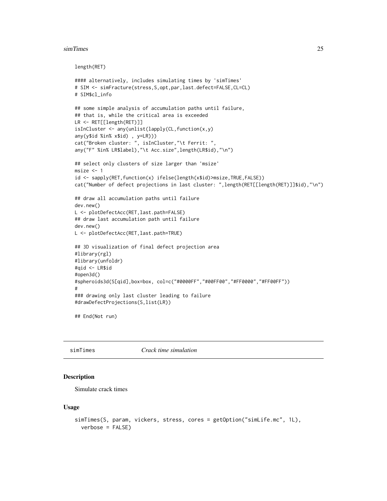#### <span id="page-24-0"></span>simTimes 25

#### length(RET)

```
#### alternatively, includes simulating times by 'simTimes'
# SIM <- simFracture(stress,S,opt,par,last.defect=FALSE,CL=CL)
# SIM$cl_info
## some simple analysis of accumulation paths until failure,
## that is, while the critical area is exceeded
LR <- RET[[length(RET)]]
isInCluster <- any(unlist(lapply(CL,function(x,y)
any(y$id %in% x$id) , y=LR)))
cat("Broken cluster: ", isInCluster,"\t Ferrit: ",
any("F" %in% LR$label),"\t Acc.size",length(LR$id),"\n")
## select only clusters of size larger than 'msize'
msize < -1id <- sapply(RET,function(x) ifelse(length(x$id)>msize,TRUE,FALSE))
cat("Number of defect projections in last cluster: ",length(RET[[length(RET)]]$id),"\n")
## draw all accumulation paths until failure
dev.new()
L <- plotDefectAcc(RET,last.path=FALSE)
## draw last accumulation path until failure
dev.new()
L <- plotDefectAcc(RET,last.path=TRUE)
## 3D visualization of final defect projection area
#library(rgl)
#library(unfoldr)
#qid <- LR$id
#open3d()
#spheroids3d(S[qid],box=box, col=c("#0000FF","#00FF00","#FF0000","#FF00FF"))
#
### drawing only last cluster leading to failure
#drawDefectProjections(S,list(LR))
```
## End(Not run)

<span id="page-24-1"></span>simTimes *Crack time simulation*

#### **Description**

Simulate crack times

#### Usage

```
simTimes(S, param, vickers, stress, cores = getOption("simLife.mc", 1L),
 verbose = FALSE)
```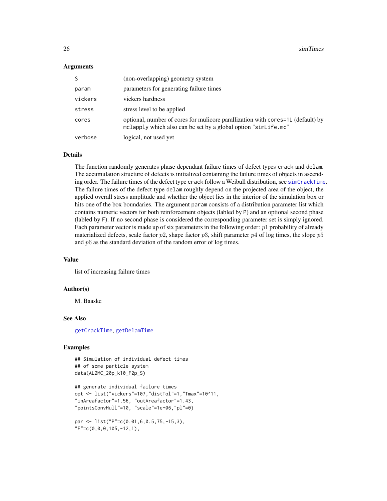<span id="page-25-0"></span>26 simTimes

#### Arguments

| S       | (non-overlapping) geometry system                                                                                                                 |
|---------|---------------------------------------------------------------------------------------------------------------------------------------------------|
| param   | parameters for generating failure times                                                                                                           |
| vickers | vickers hardness                                                                                                                                  |
| stress  | stress level to be applied                                                                                                                        |
| cores   | optional, number of cores for mulicore parallization with cores=1L (default) by<br>mclapply which also can be set by a global option "simLife.mc" |
| verbose | logical, not used yet                                                                                                                             |

## Details

The function randomly generates phase dependant failure times of defect types crack and delam. The accumulation structure of defects is initialized containing the failure times of objects in ascending order. The failure times of the defect type crack follow a Weibull distribution, see [simCrackTime](#page-19-1). The failure times of the defect type delam roughly depend on the projected area of the object, the applied overall stress amplitude and whether the object lies in the interior of the simulation box or hits one of the box boundaries. The argument param consists of a distribution parameter list which contains numeric vectors for both reinforcement objects (labled by P) and an optional second phase (labled by F). If no second phase is considered the corresponding parameter set is simply ignored. Each parameter vector is made up of six parameters in the following order:  $p_1$  probability of already materialized defects, scale factor  $p2$ , shape factor  $p3$ , shift parameter  $p4$  of log times, the slope  $p5$ and p6 as the standard deviation of the random error of log times.

#### Value

list of increasing failure times

#### Author(s)

M. Baaske

#### See Also

[getCrackTime](#page-8-1), [getDelamTime](#page-11-1)

# Examples

```
## Simulation of individual defect times
## of some particle system
data(AL2MC_20p_k10_F2p_S)
```

```
## generate individual failure times
opt <- list("vickers"=107,"distTol"=1,"Tmax"=10^11,
"inAreafactor"=1.56, "outAreafactor"=1.43,
"pointsConvHull"=10, "scale"=1e+06,"pl"=0)
```

```
par <- list("P"=c(0.01,6,0.5,75,-15,3),
"F"=c(0,0,0,105,-12,1),
```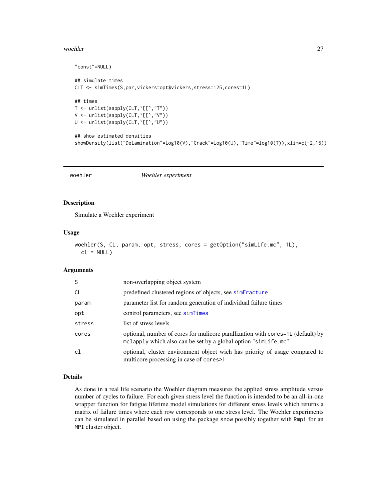#### <span id="page-26-0"></span>woehler 27

```
"const"=NULL)
## simulate times
CLT <- simTimes(S,par,vickers=opt$vickers,stress=125,cores=1L)
## times
T <- unlist(sapply(CLT,`[[`,"T"))
V <- unlist(sapply(CLT,`[[`,"V"))
U <- unlist(sapply(CLT,`[[`,"U"))
## show estimated densities
showDensity(list("Delamination"=log10(V),"Crack"=log10(U),"Time"=log10(T)),xlim=c(-2,15))
```
<span id="page-26-1"></span>woehler *Woehler experiment*

#### Description

Simulate a Woehler experiment

#### Usage

```
woehler(S, CL, param, opt, stress, cores = getOption("simLife.mc", 1L),
  cl = NULL
```
#### Arguments

| <sub>S</sub>  | non-overlapping object system                                                                                                                     |
|---------------|---------------------------------------------------------------------------------------------------------------------------------------------------|
| <sub>CL</sub> | predefined clustered regions of objects, see simeracture                                                                                          |
| param         | parameter list for random generation of individual failure times                                                                                  |
| opt           | control parameters, see simTimes                                                                                                                  |
| stress        | list of stress levels                                                                                                                             |
| cores         | optional, number of cores for mulicore parallization with cores=1L (default) by<br>mclapply which also can be set by a global option "simLife.mc" |
| c1            | optional, cluster environment object wich has priority of usage compared to<br>multicore processing in case of cores>1                            |

## Details

As done in a real life scenario the Woehler diagram measures the applied stress amplitude versus number of cycles to failure. For each given stress level the function is intended to be an all-in-one wrapper function for fatigue lifetime model simulations for different stress levels which returns a matrix of failure times where each row corresponds to one stress level. The Woehler experiments can be simulated in parallel based on using the package snow possibly together with Rmpi for an MPI cluster object.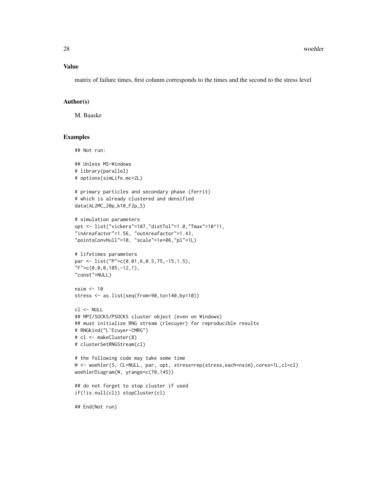#### Value

matrix of failure times, first colunm corresponds to the times and the second to the stress level

#### Author(s)

M. Baaske

#### Examples

```
## Not run:
## Unless MS-Windows
# library(parallel)
# options(simLife.mc=2L)
# primary particles and secondary phase (ferrit)
# which is already clustered and densified
data(AL2MC_20p_k10_F2p_S)
# simulation parameters
opt <- list("vickers"=107,"distTol"=1.0,"Tmax"=10^11,
"inAreafactor"=1.56, "outAreafactor"=1.43,
"pointsConvHull"=10, "scale"=1e+06,"pl"=1L)
# lifetimes parameters
par <- list("P"=c(0.01,6,0.5,75,-15,1.5),
"F"=c(0,0,0,105,-12,1),
"const"=NULL)
nsim <- 10
stress <- as.list(seq(from=90,to=140,by=10))
cl <- NULL
## MPI/SOCKS/PSOCKS cluster object (even on Windows)
## must initialize RNG stream (rlecuyer) for reproducible results
# RNGkind("L'Ecuyer-CMRG")
# cl <- makeCluster(8)
# clusterSetRNGStream(cl)
# the following code may take some time
W <- woehler(S, CL=NULL, par, opt, stress=rep(stress,each=nsim),cores=1L,cl=cl)
woehlerDiagram(W, yrange=c(70,145))
## do not forget to stop cluster if used
if(!is.null(cl)) stopCluster(cl)
## End(Not run)
```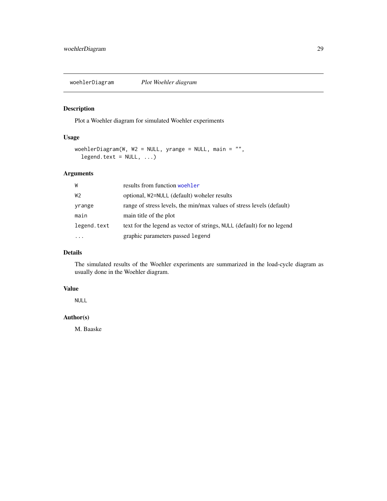<span id="page-28-1"></span><span id="page-28-0"></span>woehlerDiagram *Plot Woehler diagram*

# Description

Plot a Woehler diagram for simulated Woehler experiments

# Usage

```
woehlerDiagram(W, W2 = NULL, yrange = NULL, main = "",
  legend.text = NULL, ...)
```
# Arguments

| W           | results from function woehler                                          |
|-------------|------------------------------------------------------------------------|
| W2          | optional, W2=NULL (default) woheler results                            |
| yrange      | range of stress levels, the min/max values of stress levels (default)  |
| main        | main title of the plot                                                 |
| legend.text | text for the legend as vector of strings, NULL (default) for no legend |
|             | graphic parameters passed legend                                       |

# Details

The simulated results of the Woehler experiments are summarized in the load-cycle diagram as usually done in the Woehler diagram.

# Value

NULL

# Author(s)